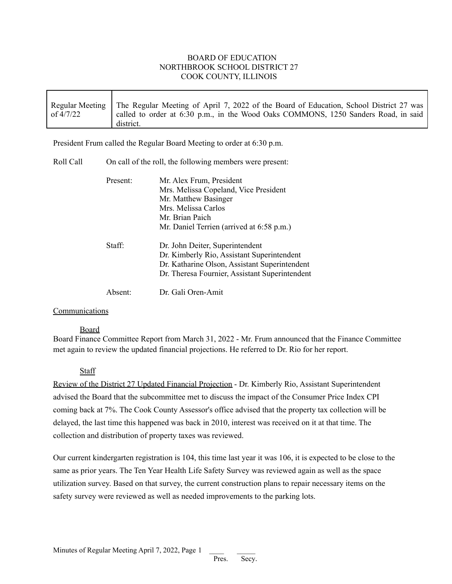## BOARD OF EDUCATION NORTHBROOK SCHOOL DISTRICT 27 COOK COUNTY, ILLINOIS

|           | Regular Meeting   The Regular Meeting of April 7, 2022 of the Board of Education, School District 27 was |
|-----------|----------------------------------------------------------------------------------------------------------|
| of 4/7/22 | called to order at 6:30 p.m., in the Wood Oaks COMMONS, 1250 Sanders Road, in said<br>district.          |

President Frum called the Regular Board Meeting to order at 6:30 p.m.

| Roll Call | On call of the roll, the following members were present: |                                                |  |
|-----------|----------------------------------------------------------|------------------------------------------------|--|
|           | Present:                                                 | Mr. Alex Frum, President                       |  |
|           |                                                          | Mrs. Melissa Copeland, Vice President          |  |
|           |                                                          | Mr. Matthew Basinger                           |  |
|           |                                                          | Mrs. Melissa Carlos                            |  |
|           |                                                          | Mr. Brian Paich                                |  |
|           |                                                          | Mr. Daniel Terrien (arrived at 6:58 p.m.)      |  |
|           | Staff:                                                   | Dr. John Deiter, Superintendent                |  |
|           |                                                          | Dr. Kimberly Rio, Assistant Superintendent     |  |
|           |                                                          | Dr. Katharine Olson, Assistant Superintendent  |  |
|           |                                                          | Dr. Theresa Fournier, Assistant Superintendent |  |
|           | Absent:                                                  | Dr. Gali Oren-Amit                             |  |

## Communications

## Board

Board Finance Committee Report from March 31, 2022 - Mr. Frum announced that the Finance Committee met again to review the updated financial projections. He referred to Dr. Rio for her report.

# Staff

Review of the District 27 Updated Financial Projection - Dr. Kimberly Rio, Assistant Superintendent advised the Board that the subcommittee met to discuss the impact of the Consumer Price Index CPI coming back at 7%. The Cook County Assessor's office advised that the property tax collection will be delayed, the last time this happened was back in 2010, interest was received on it at that time. The collection and distribution of property taxes was reviewed.

Our current kindergarten registration is 104, this time last year it was 106, it is expected to be close to the same as prior years. The Ten Year Health Life Safety Survey was reviewed again as well as the space utilization survey. Based on that survey, the current construction plans to repair necessary items on the safety survey were reviewed as well as needed improvements to the parking lots.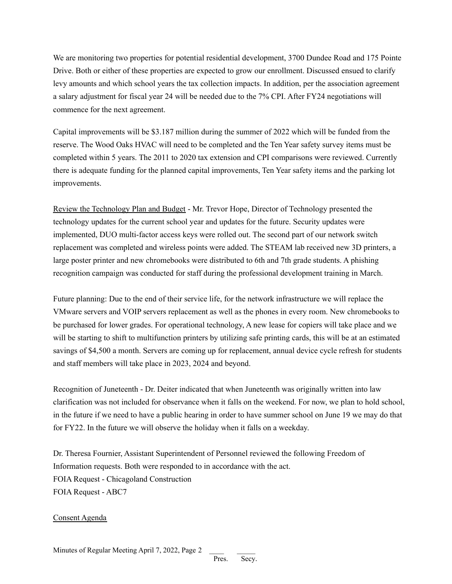We are monitoring two properties for potential residential development, 3700 Dundee Road and 175 Pointe Drive. Both or either of these properties are expected to grow our enrollment. Discussed ensued to clarify levy amounts and which school years the tax collection impacts. In addition, per the association agreement a salary adjustment for fiscal year 24 will be needed due to the 7% CPI. After FY24 negotiations will commence for the next agreement.

Capital improvements will be \$3.187 million during the summer of 2022 which will be funded from the reserve. The Wood Oaks HVAC will need to be completed and the Ten Year safety survey items must be completed within 5 years. The 2011 to 2020 tax extension and CPI comparisons were reviewed. Currently there is adequate funding for the planned capital improvements, Ten Year safety items and the parking lot improvements.

Review the Technology Plan and Budget - Mr. Trevor Hope, Director of Technology presented the technology updates for the current school year and updates for the future. Security updates were implemented, DUO multi-factor access keys were rolled out. The second part of our network switch replacement was completed and wireless points were added. The STEAM lab received new 3D printers, a large poster printer and new chromebooks were distributed to 6th and 7th grade students. A phishing recognition campaign was conducted for staff during the professional development training in March.

Future planning: Due to the end of their service life, for the network infrastructure we will replace the VMware servers and VOIP servers replacement as well as the phones in every room. New chromebooks to be purchased for lower grades. For operational technology, A new lease for copiers will take place and we will be starting to shift to multifunction printers by utilizing safe printing cards, this will be at an estimated savings of \$4,500 a month. Servers are coming up for replacement, annual device cycle refresh for students and staff members will take place in 2023, 2024 and beyond.

Recognition of Juneteenth - Dr. Deiter indicated that when Juneteenth was originally written into law clarification was not included for observance when it falls on the weekend. For now, we plan to hold school, in the future if we need to have a public hearing in order to have summer school on June 19 we may do that for FY22. In the future we will observe the holiday when it falls on a weekday.

Dr. Theresa Fournier, Assistant Superintendent of Personnel reviewed the following Freedom of Information requests. Both were responded to in accordance with the act. FOIA Request - Chicagoland Construction FOIA Request - ABC7

## Consent Agenda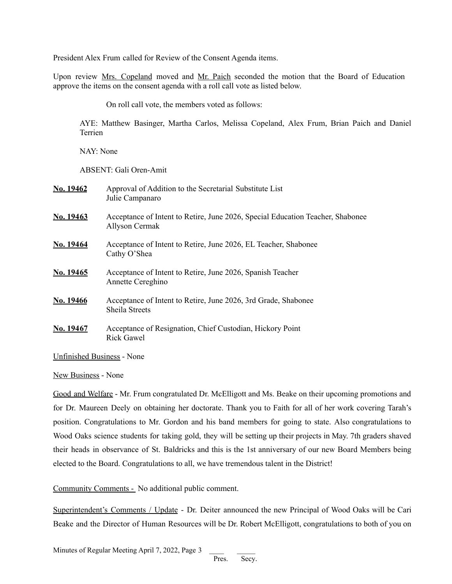President Alex Frum called for Review of the Consent Agenda items.

Upon review Mrs. Copeland moved and Mr. Paich seconded the motion that the Board of Education approve the items on the consent agenda with a roll call vote as listed below.

On roll call vote, the members voted as follows:

AYE: Matthew Basinger, Martha Carlos, Melissa Copeland, Alex Frum, Brian Paich and Daniel Terrien

NAY: None

ABSENT: Gali Oren-Amit

| No. 19462 | Approval of Addition to the Secretarial Substitute List<br>Julie Campanaro                       |
|-----------|--------------------------------------------------------------------------------------------------|
| No. 19463 | Acceptance of Intent to Retire, June 2026, Special Education Teacher, Shabonee<br>Allyson Cermak |
| No. 19464 | Acceptance of Intent to Retire, June 2026, EL Teacher, Shabonee<br>Cathy O'Shea                  |
| No. 19465 | Acceptance of Intent to Retire, June 2026, Spanish Teacher<br>Annette Cereghino                  |
| No. 19466 | Acceptance of Intent to Retire, June 2026, 3rd Grade, Shabonee<br>Sheila Streets                 |
| No. 19467 | Acceptance of Resignation, Chief Custodian, Hickory Point<br><b>Rick Gawel</b>                   |

Unfinished Business - None

New Business - None

Good and Welfare - Mr. Frum congratulated Dr. McElligott and Ms. Beake on their upcoming promotions and for Dr. Maureen Deely on obtaining her doctorate. Thank you to Faith for all of her work covering Tarah's position. Congratulations to Mr. Gordon and his band members for going to state. Also congratulations to Wood Oaks science students for taking gold, they will be setting up their projects in May. 7th graders shaved their heads in observance of St. Baldricks and this is the 1st anniversary of our new Board Members being elected to the Board. Congratulations to all, we have tremendous talent in the District!

Community Comments - No additional public comment.

Superintendent's Comments / Update - Dr. Deiter announced the new Principal of Wood Oaks will be Cari Beake and the Director of Human Resources will be Dr. Robert McElligott, congratulations to both of you on